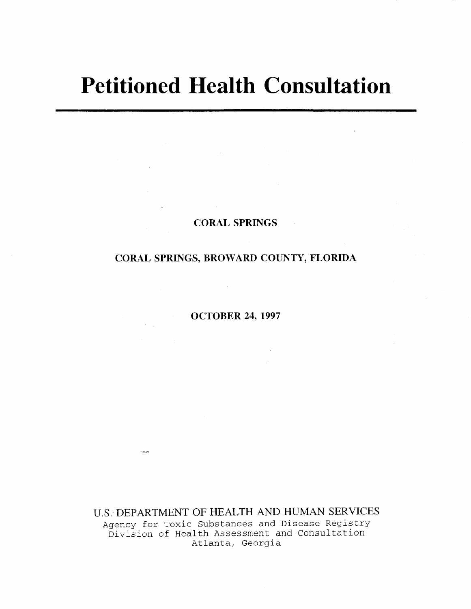# **Petitioned Health Consultation**

### **CORAL SPRINGS**

# **CORAL SPRINGS, BROWARD COUNTY, FLORIDA**

**OCTOBER 24, 1997** 

U.S. **DEPARTMENT OF HEALTH AND HUMAN SERVICES**  Agency for Toxic Substances and Disease Registry Division of Health Assessment and Consultation Atlanta, Georgia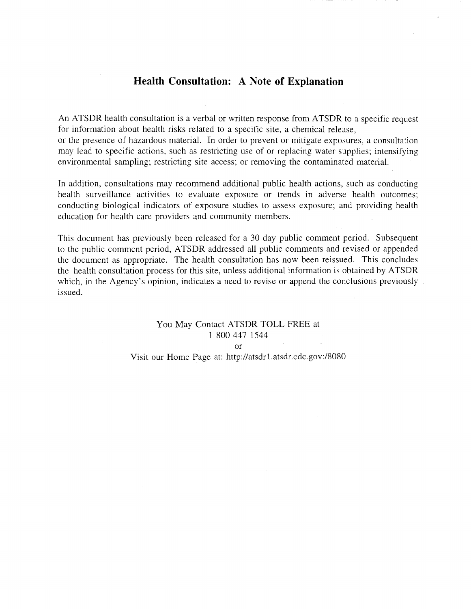## **Health Consultation: A Note of Explanation**

An ATSDR health consultation is a verbal or written response from ATSDR to a specific request for information about health risks related to a specific site, a chemical release, or the presence of hazardous material. In order to prevent or mitigate exposures, a consultation may lead to specific actions, such as restricting use of or replacing water supplies; intensifying environmental sampling; restricting site access; or removing the contaminated material.

In addition, consultations may recommend additional public health actions, such as conducting health surveillance activities to evaluate exposure or trends in adverse health outcomes; conducting biological indicators of exposure studies to assess exposure; and providing health education for health care providers and community members.

This document has previously been released for a 30 day public comment period. Subsequent to the public comment period, A TSDR addressed all public comments and revised or appended the document as appropriate. The health consultation has now been reissued. This concludes the health consultation process for this site, unless additional information is obtained by ATSDR which, in the Agency's opinion, indicates a need to revise or append the conclusions previously issued.

# You May Contact ATSDR TOLL FREE at 1-800-447 -1544

or

Visit our Home Page at: http://atsdrl.atsdr.cdc.gov:/8080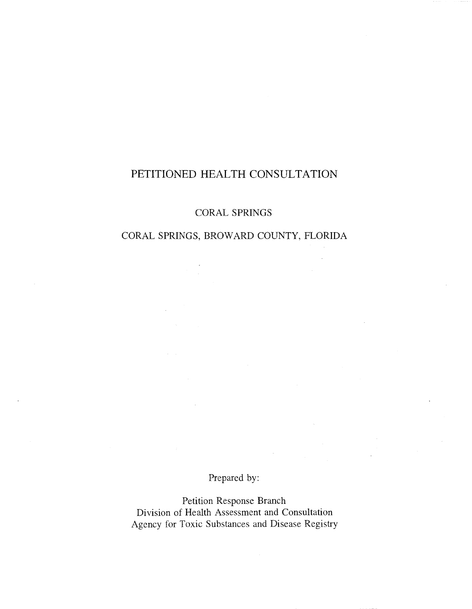# PETITIONED HEALTH CONSULTATION

CORAL SPRINGS

# CORAL SPRINGS, BROWARD COUNTY, FLORIDA

 $\Delta \sim 100$ 

# Prepared by:

Petition Response Branch Division of Health Assessment and Consultation Agency for Toxic Substances and Disease Registry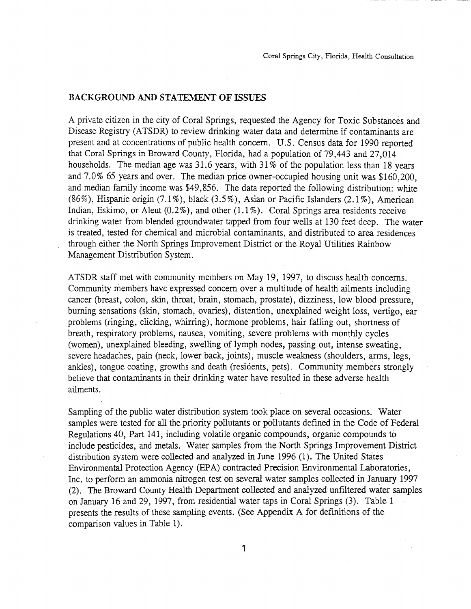#### BACKGROUND AND STATEMENT OF ISSUES

A private citizen in the city of Coral Springs, requested the Agency for Toxic Substances and Disease Registry (ATSDR) to review drinking water data and determine if contaminants are present and at concentrations of public health concern. U.S. Census data for 1990 reported that Coral Springs in Broward County, Florida, had a population of 79,443 and 27,014 households. The median age was 31.6 years, with 31% of the population less than 18 years and 7.0% 65 years and over. The median price owner-occupied housing unit was \$160,200, and median family income was \$49,856. The data reported the following distribution: white (86%), Hispanic origin  $(7.1\%)$ , black  $(3.5\%)$ , Asian or Pacific Islanders  $(2.1\%)$ , American Indian, Eskimo, or Aleut  $(0.2\%)$ , and other  $(1.1\%)$ . Coral Springs area residents receive drinking water from blended groundwater tapped from four wells at 130 feet deep. The water is treated, tested for chemical and microbial contaminants, and distributed to area residences through either the North Springs Improvement District or the Royal Utilities Rainbow Management Distribution System.

ATSDR staff met with community members on May 19, 1997, to discuss health concerns. Community members have expressed concern over a multitude of health ailments including cancer (breast, colon, skin, throat, brain, stomach, prostate), dizziness, low blood pressure, burning sensations (skin, stomach, ovaries), distention, unexplained weight loss, vertigo, ear problems (ringing, clicking, whirring), hormone problems, hair falling out, shortness of breath, respiratory problems, nausea, vomiting, severe problems with monthly cycles (women), unexplained bleeding, swelling of lymph nodes, passing out, intense sweating, severe headaches, pain (neck, lower back, joints), muscle weakness (shoulders, arms, legs, ankles), tongue coating, growths and death (residents, pets). Community members strongly believe that contaminants in their drinking water have resulted in these adverse health ailments.

Sampling of the public water distribution system took place on several occasions. Water samples were tested for all the priority pollutants or pollutants defined in the Code of Federal Regulations 40, Part 141, including volatile organic compounds, organic compounds to include pesticides, and metals. Water samples from the North Springs Improvement District distribution system were collected and analyzed in June 1996 (1). The United States Environmental Protection Agency (EPA) contracted Precision Environmental Laboratories, Inc. to perform an ammonia nitrogen test on several water samples collected in January 1997 (2). The Broward County Health Department collected and analyzed unfiltered water samples on January 16 and 29, 1997, from residential water taps in Coral Springs (3). Table 1 presents the results of these sampling events. (See Appendix A for defmitions of the comparison values in Table 1).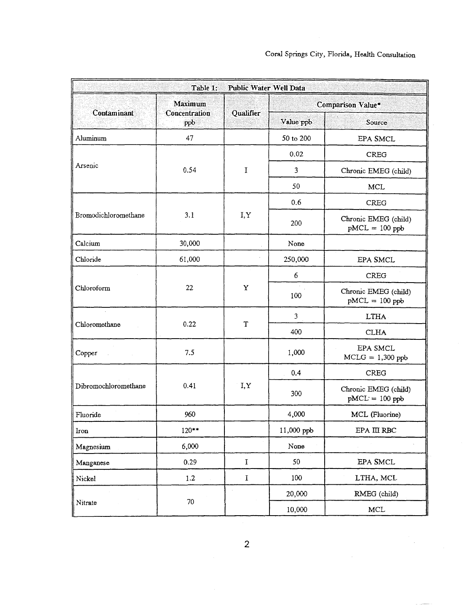| Public Water Well Data<br>Table 1: |                                  |             |                   |                                          |  |  |
|------------------------------------|----------------------------------|-------------|-------------------|------------------------------------------|--|--|
| Contaminant                        | Maximum<br>Concentration<br>ppb. | Qualifier   | Comparison Value* |                                          |  |  |
|                                    |                                  |             | Value ppb         | Source                                   |  |  |
| Aluminum                           | 47                               |             | 50 to 200         | EPA SMCL                                 |  |  |
| Arsenic                            | 0.54                             | I           | 0.02              | <b>CREG</b>                              |  |  |
|                                    |                                  |             | 3                 | Chronic EMEG (child)                     |  |  |
|                                    |                                  |             | 50                | <b>MCL</b>                               |  |  |
|                                    | 3.1                              | I, Y        | 0.6               | <b>CREG</b>                              |  |  |
| Bromodichloromethane               |                                  |             | 200               | Chronic EMEG (child)<br>$pMCL = 100$ ppb |  |  |
| Calcium                            | 30,000                           |             | None              |                                          |  |  |
| Chloride                           | 61,000                           |             | 250,000           | EPA SMCL                                 |  |  |
|                                    | 22                               | Y           | 6                 | <b>CREG</b>                              |  |  |
| Chloroform                         |                                  |             | 100               | Chronic EMEG (child)<br>$pMCL = 100$ ppb |  |  |
| Chloromethane                      | 0.22                             | T           | $\mathfrak{Z}$    | <b>LTHA</b>                              |  |  |
|                                    |                                  |             | 400               | <b>CLHA</b>                              |  |  |
| Copper                             | 7.5                              |             | 1,000             | EPA SMCL<br>$MCLG = 1,300$ ppb           |  |  |
|                                    | 0.41                             | I, Y        | 0.4               | <b>CREG</b>                              |  |  |
| Dibromochloromethane               |                                  |             | 300               | Chronic EMEG (child)<br>$pMCL = 100 ppb$ |  |  |
| Fluoride                           | 960                              |             | 4,000             | MCL (Fluorine)                           |  |  |
| Iron                               | $120**$                          |             | 11,000 ppb        | EPA III RBC                              |  |  |
| Magnesium                          | 6,000                            |             | None              |                                          |  |  |
| Manganese                          | 0.29                             | $\mathbf I$ | 50                | EPA SMCL                                 |  |  |
| Nickel                             | $1.2\,$                          | $\mathbf I$ | 100               | LTHA, MCL                                |  |  |
|                                    | 70                               |             | 20,000            | RMEG (child)                             |  |  |
| Nitrate                            |                                  |             | 10,000            | MCL                                      |  |  |

 $\mathcal{L}^{\mathcal{L}}$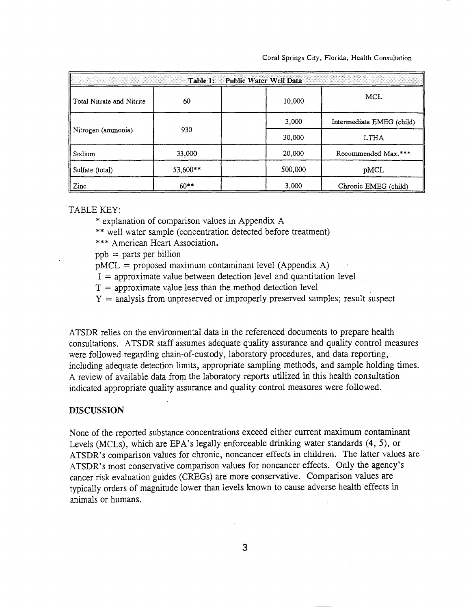#### Coral Springs City, Florida, Health Consultation

| Public Water Well Data<br>Table 1: |          |         |                           |  |
|------------------------------------|----------|---------|---------------------------|--|
| ll Total Nitrate and Nitrite       | 60       | 10,000  | MCL                       |  |
|                                    | 930      | 3,000   | Intermediate EMEG (child) |  |
| Nitrogen (ammonia)                 |          | 30,000  | LTHA                      |  |
| Sodium                             | 33,000   | 20,000  | Recommended Max.***       |  |
| Sulfate (total)                    | 53,600** | 500,000 | pMCL                      |  |
| Zinc                               | $60**$   | 3,000   | Chronic EMEG (child)      |  |

#### TABLE KEY:

\* explanation of comparison values in Appendix A

\*\* well water sample (concentration detected before treatment)

\*\*\* American Heart Association.

 $ppb = parts per billion$ 

 $pMCL =$  proposed maximum contaminant level (Appendix A)

 $I =$  approximate value between detection level and quantitation level

 $T =$  approximate value less than the method detection level

 $Y =$  analysis from unpreserved or improperly preserved samples; result suspect

ATSDR relies on the environmental data in the referenced documents to prepare health consultations. ATSDR staff assumes adequate quality assurance and quality control measures were followed regarding chain-of-custody, laboratory procedures, and data reporting, including adequate detection limits, appropriate sampling methods, and sample holding times. A review of available data from the laboratory reports utilized in this health consultation indicated appropriate quality assurance and quality control measures were followed.

#### **DISCUSSION**

None of the reported substance concentrations exceed either current maximum contaminant Levels (MCLs), which are EPA's legally enforceable drinking water standards (4, 5), or ATSDR's comparison values for chronic, noncancer effects in children. The latter values are ATSDR's most conservative comparison values for noncancer effects. Only the agency's cancer risk evaluation guides (CREGs) are more conservative. Comparison values are typically orders of magnitude lower than levels known to cause adverse health effects in animals or humans.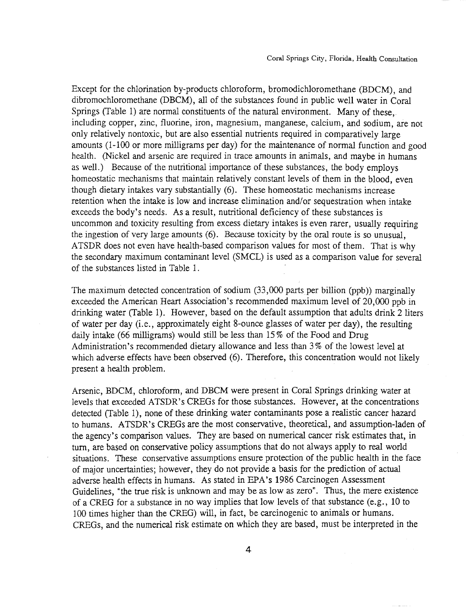Except for the chlorination by-products chloroform, bromodichloromethane (BDCM), and dibromochloromethane (DBCM), all of the substances found in public well water in Coral Springs (Table 1) are normal constituents of the natural environment. Many of these, including copper, zinc, fluorine, iron, magnesium, manganese, calcium, and sodium, are not only relatively nontoxic, but are also essential nutrients required in comparatively large amounts (1-100 or more milligrams per day) for the maintenance of normal function and good health. (Nickel and arsenic are required in trace amounts in animals, and maybe in humans as well.) Because of the nutritional importance of these substances, the body employs homeostatic mechanisms that maintain relatively constant levels of them in the blood, even though dietary intakes vary substantially (6). These homeostatic mechanisms increase retention when the intake is low and increase elimination and/or sequestration when intake exceeds the body's needs. As a result, nutritional deficiency of these substances is uncommon and toxicity resulting from excess dietary intakes is even rarer, usually requiring the ingestion of very large amounts (6). Because toxicity by the oral route is so unusual, ATSDR does not even have health-based comparison values for most of them. That is why the secondary maximum contaminant level (SMCL) is used as a comparison value for several of the substances listed in Table 1.

The maximum detected concentration of sodium  $(33,000$  parts per billion (ppb)) marginally exceeded the American Heart Association's recommended maximum level of 20,000 ppb in drinking water (Table 1). However, based on the default assumption that adults drink 2 liters of water per day (i.e., approximately eight 8-ounce glasses of water per day), the resulting daily intake (66 milligrams) would still be less than 15 % of the Food and Drug Administration's recommended dietary allowance and less than 3 % of the lowest level at which adverse effects have been observed (6). Therefore, this concentration would not likely present a health problem.

Arsenic, BDCM, chloroform, and DBCM were present in Coral Springs drinking water at levels that exceeded ATSDR's CREGs for those substances. However, at the concentrations detected (Table 1), none of these drinking water contaminants pose a realistic cancer hazard to humans. ATSDR's CREGs are the most conservative, theoretical, and assumption-laden of the agency's comparison values. They are based on numerical cancer risk estimates that, in turn, are based on conservative policy assumptions that do not always apply to real world situations. These conservative assumptions ensure protection of the public health in the face of major uncertainties; however, they do not provide a basis for the prediction of actual adverse health effects in humans. As stated in EPA's 1986 Carcinogen Assessment Guidelines, "the true risk is unknown and may be as low as zero". Thus, the mere existence of a CREG for a substance in no way implies that low levels of that substance (e.g., 10 to 100 times higher than the CREG) will, in fact, be carcinogenic to animals or humans. CREGs, and the numerical risk estimate on which they are based, must be interpreted in the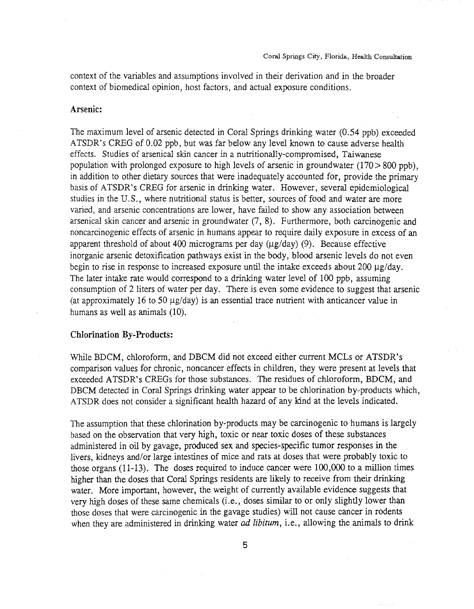context of the variables and assumptions involved in their derivation and in the broader context of biomedical opinion, host factors, and actual exposure conditions.

#### Arsenic:

The maximum level of arsenic detected in Coral Springs drinking water (0.54 ppb) exceeded ATSDR's CREG of 0.02 ppb, but was far below any level known to cause adverse health effects. Studies of arsenical skin cancer in a nutritionally-compromised, Taiwanese population with prolonged exposure to high levels of arsenic in groundwater  $(170 > 800$  ppb), in addition to other dietary sources that were inadequately accounted for, provide the primary basis of ATSDR's CREG for arsenic in drinking water. However, several epidemiological studies in the U.S., where nutritional status is better, sources of food and water are more varied, and arsenic concentrations are lower, have failed to show any association between arsenical skin cancer and arsenic in groundwater (7, 8). Furthermore, both carcinogenic and noncarcinogenic effects of arsenic in humans appear to require daily exposure in excess of an apparent threshold of about 400 micrograms per day  $(\mu g/day)$  (9). Because effective inorganic arsenic detoxification pathways exist in the body, blood arsenic levels do not even begin to rise in response to increased exposure until the intake exceeds about 200  $\mu$ g/day. The later intake rate would correspond to a drinking water level of 100 ppb, assuming consumption of 2 liters of water per day. There is even some evidence to suggest that arsenic (at approximately 16 to 50  $\mu$ g/day) is an essential trace nutrient with anticancer value in humans as well as animals (10).

#### Chlorination By-Products:

While BDCM, chloroform, and DBCM did not exceed either current MCLs or ATSDR's comparison values for chronic, noncancer effects in children, they were present at levels that exceeded ATSDR's CREGs for those substances. The residues of chloroform, BDCM, and DBCM detected in Coral Springs drinking water appear to be chlorination by-products which, ATSDR does not consider a significant health hazard of any kind at the levels indicated.

The assumption that these chlorination by-products may be carcinogenic to humans is largely based on the observation that very high, *toxic* or near *toxic* doses of these substances administered in oil by gavage, produced sex and species-specific tumor responses in the livers, kidneys and/or large intestines of mice and rats at doses that were probably toxic to those organs (11-13). The doses required to induce cancer were 100,000 to a million times higher than the doses that Coral Springs residents are likely to receive from their drinking water. More important, however, the weight of currently available evidence suggests that very high doses of these same chemicals (i.e., doses similar to or only slightly lower than those doses that were carcinogenic in the gavage studies) will not cause cancer in rodents when they are administered in drinking water *ad libitum*, *i.e.*, allowing the animals to drink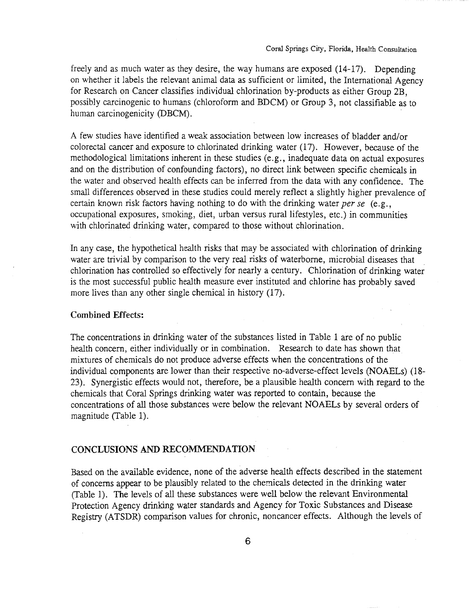freely and as much water as they desire, the way humans are exposed (14-17). Depending on whether it labels the relevant animal data as sufficient or limited, the International Agency for Research on Cancer classifies individual chlorination by-products as either Group 2B, possibly carcinogenic to humans (chloroform and BDCM) or Group 3, not classifiable as to human carcinogenicity (DBCM).

A few studies have identified a weak association between low increases of bladder and/or colorectal cancer and exposure to chlorinated drinking water (17). However, because of the methodological limitations inherent in these studies (e.g., inadequate data on actual exposures and on the distribution of confounding factors), no direct link between specific chemicals in the water and observed health effects can be inferred from the data with any confidence. The small differences observed in these studies could merely reflect a slightly higher prevalence of certain known risk factors having nothing to do with the drinking water *per se* (e.g., occupational exposures, smoking, diet, urban versus rural lifestyles, etc.) in communities with chlorinated drinking water, compared to those without chlorination.

In any case, the hypothetical health risks that may be associated with chlorination of drinking water are trivial by comparison to the very real risks of waterborne, microbial diseases that chlorination has controlled so effectively for nearly a century. Chlorination of drinking water is the most successful public health measure ever instituted and chlorine has probably saved more lives than any other single chemical in history (17).

#### Combined Effects:

The concentrations in drinking water of the substances listed in Table 1 are of no public health concern, either individually or in combination. Research to date has shown that mixtures of chemicals do not produce adverse effects when the concentrations of the individual components are lower than their respective no-adverse-effect levels (NOAELs) (18- 23). Synergistic effects would not, therefore, be a plausible health concern with regard to the chemicals that Coral Springs drinking water was reported to contain, because the concentrations of all those substances were below the relevant NOAELs by several orders of magnitude (Table 1).

#### CONCLUSIONS AND RECOMMENDATION

Based on the available evidence, none of the adverse health effects described in the statement of concerns appear to be plausibly related to the chemicals detected in the drinking water (Table 1). The levels of all these substances were well below the relevant Environmental Protection Agency drinking water standards and Agency for Toxic Substances and Disease Registry (ATSDR) comparison values for chronic, noncancer effects. Although the levels of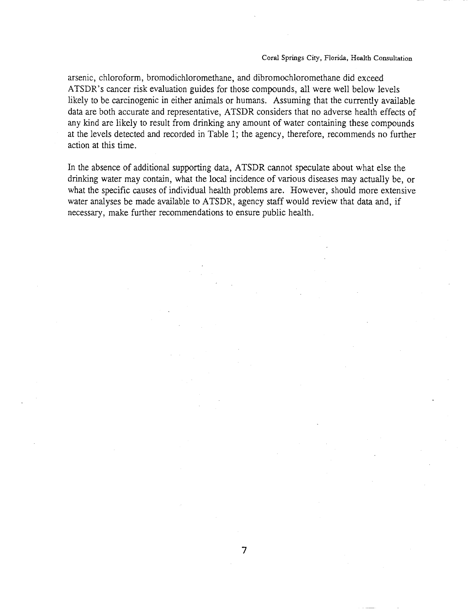#### Coral Springs City, Florida, Health Consultation

arsenic, chloroform, bromodichloromethane, and dibromochloromethane did exceed ATSDR's cancer risk evaluation guides for those compounds, all were well below levels likely to be carcinogenic in either animals or humans. Assuming that the currently available data are both accurate and representative, ATSDR considers that no adverse health effects of any kind are likely to result from drinking any amount of water containing these compounds at the levels detected and recorded in Table 1; the agency, therefore, recommends no further action at this time.

In the absence of additional supporting data, ATSDR cannot speculate about what else the drinking water may contain, what the local incidence of various diseases may actually be, or what the specific causes of individual health problems are. However, should more extensive water analyses be made available to ATSDR, agency staff would review that data and, if necessary, make further recommendations to ensure public health.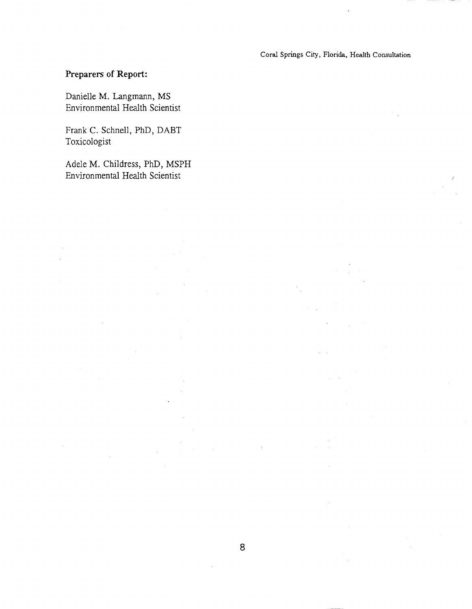Coral Springs City, Florida, Health Consultation

# **Preparers of Report:**

Danielle M. Langmann, MS Environmental Health Scientist

Frank C. Schnell, PhD, DABT Toxicologist

Adele M. Childress, PhD, MSPH Environmental Health Scientist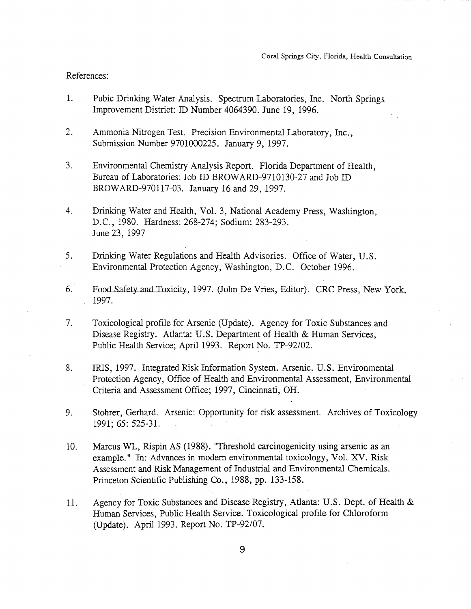#### References:

- 1. Pubic Drinking Water Analysis. Spectrum Laboratories, Inc. North Springs Improvement District: ID Number 4064390. June 19, 1996.
- 2. Ammonia Nitrogen Test. Precision Environmental Laboratory, Inc., Submission Number 9701000225. January 9, 1997.
- 3. Environmental Chemistry Analysis Report. Florida Department of Health, Bureau of Laboratories: Job ID BROWARD-9710130-27 and Job ID BROWARD-970117-03. January 16 and 29,1997.
- 4. Drinking Water and Health, Vol. 3, National Academy Press, Washington, D.C., 1980. Hardness: 268-274; Sodium: 283-293. June 23, 1997
- 5. Drinking Water Regulations and Health Advisories. Office of Water, U.S. Environmental Protection Agency, Washington, D.C. October 1996.
- 6. Food Safety and Toxicity, 1997. (John De Vries, Editor). CRC Press, New York, 1997.
- 7. Toxicological profIle for Arsenic (Update). Agency for Toxic Substances and Disease Registry. Atlanta: U.S. Department of Health & Human Services, Public Health Service; April 1993. Report No. TP-92/02.
- 8. IRIS, 1997. Integrated Risk Information System. Arsenic. U.S. Environmental Protection Agency, Office of Health and Environmental Assessment, Environmental Criteria and Assessment Office; 1997, Cincinnati, OH.
- 9. Stohrer, Gerhard. Arsenic: Opportunity for risk assessment. Archives of Toxicology 1991; 65: 525-31.
- 10. Marcus WL, Rispin AS (1988). "Threshold carcinogenicity using arsenic as an example." In: Advances in modern environmental toxicology, Vol. XV. Risk Assessment and Risk Management of Industrial and Environmental Chemicals. Princeton Scientific Publishing Co., 1988, pp. 133-158.
- 11. Agency for Toxic Substances and Disease Registry, Atlanta: U.S. Dept. of Health & Human Services, Public Health Service. Toxicological profile for Chloroform (Update). April 1993. Report No. TP-92/07.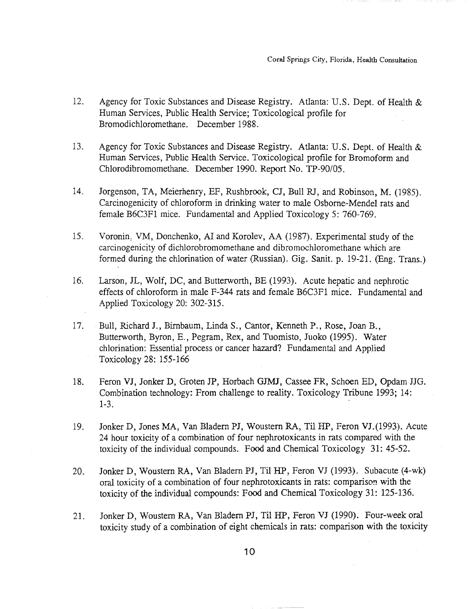- 12. Agency for Toxic Substances and Disease Registry. Atlanta: U.S. Dept. of Health & Human Services, Public Health Service; Toxicological profile for Bromodichloromethane. December 1988.
- 13. Agency for Toxic Substances and Disease Registry. Atlanta: U.S. Dept. of Health & Human Services, Public Health Service. Toxicological profile for Bromoform and Chlorodibromomethane. December 1990. Report No. *TP-90105.*
- 14. Jorgenson, TA, Meierhenry, EF, Rushbrook, CJ, Bull RJ, and Robinson, M. (1985). Carcinogenicity of chloroform in drinking water to male Osborne-Mendel rats and female B6C3F1 mice. Fundamental and Applied Toxicology 5: 760-769.
- 15. Voronin, VM, Donchenko, AI and Korolev, AA (1987). Experimental study of the carcinogenicity of dichlorobromomethane and dibromochloromethane which are formed during the chlorination of water (Russian). Gig. Sanit. p. 19-21. (Eng. Trans.)
- 16. Larson, JL, Wolf, DC, and Butterworth, BE (1993). Acute hepatic and nephrotic effects of chloroform in male F-344 rats and female B6C3F1 mice. Fundamental and Applied Toxicology 20: 302-315.
- 17. Bull, Richard J., Birnbaum, Linda S., Cantor, Kenneth P., Rose, Joan B., Butterworth, Byron, E., Pegram, Rex, and Tuomisto, Juoko (1995). Water chlorination: Essential process or cancer hazard? Fundamental and Applied Toxicology 28: 155-166
- 18. Feron VJ, Jonker D, Groten JP, Horbach GJMJ, Cassee FR, Schoen ED, Opdam JJG. Combination technology: From challenge to reality. Toxicology Tribune 1993; 14: 1-3. .
- 19. Jonker D, Jones MA, Van Bladem PJ, Woustem RA, Til HP, Feron VJ.(1993). Acute 24 hour toxicity of a combination of four nephrotoxicants in rats compared with the toxicity of the individual compounds. Food and Chemical Toxicology 31: 45-52.
- 20. Jonker D, Woustem RA, Van Bladem PJ, Til HP, Feron VJ (1993). Subacute (4-wk) oral toxicity of a combination of four nephrotoxicants in rats: comparison with the toxicity of the individual compounds: Food and Chemical Toxicology 31: 125-136.
- 21. Jonker D, Woustern RA, Van Bladern PJ, Til HP, Feron VJ (1990). Four-week oral toxicity study of a combination of eight chemicals in rats: comparison with the toxicity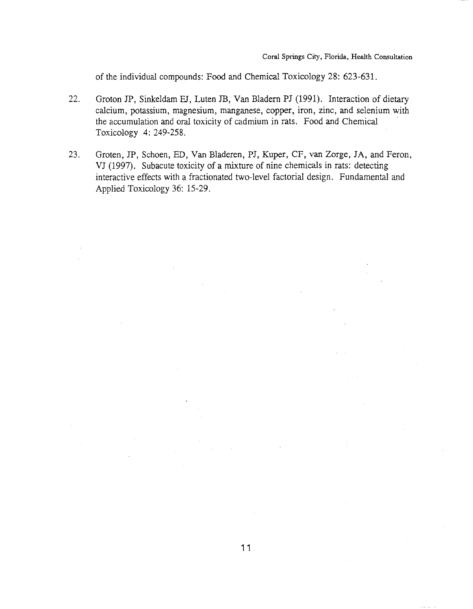of the individual compounds: Food and Chemical Toxicology 28: 623-631.

- 22. Groton JP, Sinkeldam EJ, Luten JB, Van Bladern PJ (1991). Interaction of dietary calcium, potassium, magnesium, manganese, copper, iron, zinc, and selenium with the accumulation and oral toxicity of cadmium in rats. Food and Chemical Toxicology 4: 249-258.
- 23. Groten, JP, Schoen, ED, Van Bladeren, PJ, Kuper, CF, van Zorge, JA, and Feron, VJ (1997). Subacute toxicity of a mixture of nine chemicals in rats: detecting interactive effects with a fractionated two-level factorial design. Fundamental and Applied Toxicology 36: 15-29.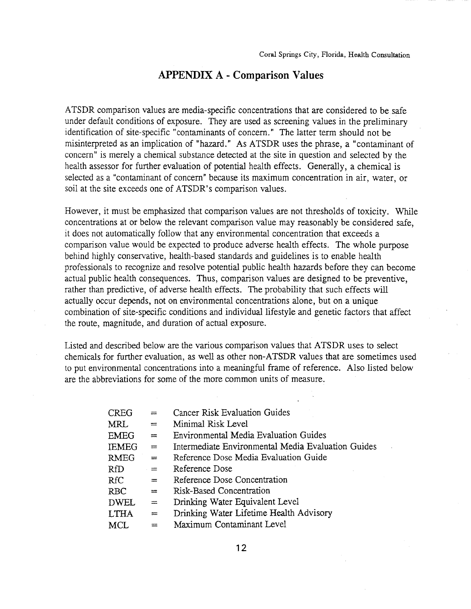#### **APPENDIX A - Comparison Values**

ATSDR comparison values are media-specific concentrations that are considered to be safe under default conditions of exposure. They are used as screening values in the preliminary identification of site-specific" contaminants of concern." The latter term should not be misinterpreted as an implication of "hazard." As ATSDR uses the phrase, a "contaminant of concern" is merely a chemical substance detected at the site in question and selected by the health assessor for further evaluation of potential health effects. Generally, a chemical is selected as a "contaminant of concern" because its maximum concentration in air, water, or soil at the site exceeds one of ATSDR's comparison values.

However, it must be emphasized that comparison values are not thresholds of toxicity. While concentrations at or below the relevant comparison value may reasonably be considered safe, it does not automatically follow that any environmental concentration that exceeds a comparison value would be expected to produce adverse health effects. The whole purpose behind highly conservative, health-based standards and guidelines is to enable health professionals to recognize and resolve potential public health hazards before they can become actual public health consequences. Thus, comparison values are designed to be preventive, rather than predictive, of adverse health effects. The probability that such effects will actually occur depends, not on environmental concentrations alone, but on a unique combination of site-specific conditions and individual lifestyle and genetic factors that affect the route, magnitude, and duration of actual exposure.

Listed and described below are the various comparison values that ATSDR uses to select chemicals for further evaluation, as well as other non-ATSDR values that are sometimes used to put environmental concentrations into a meaningful frame of reference. Also listed below are the abbreviations for some of the more common units of measure.

| <b>CREG</b>  | $=$      | Cancer Risk Evaluation Guides                      |
|--------------|----------|----------------------------------------------------|
| MRL          | $=$      | Minimal Risk Level                                 |
| <b>EMEG</b>  | $=$      | Environmental Media Evaluation Guides              |
| <b>IEMEG</b> | $=$      | Intermediate Environmental Media Evaluation Guides |
| <b>RMEG</b>  | $=$      | Reference Dose Media Evaluation Guide              |
| <b>RfD</b>   | $=$      | Reference Dose                                     |
| <b>RfC</b>   | $=$      | Reference Dose Concentration                       |
| <b>RBC</b>   | $=$      | Risk-Based Concentration                           |
| <b>DWEL</b>  | $=$      | Drinking Water Equivalent Level                    |
| <b>LTHA</b>  | $\equiv$ | Drinking Water Lifetime Health Advisory            |
| <b>MCL</b>   | $=$      | Maximum Contaminant Level                          |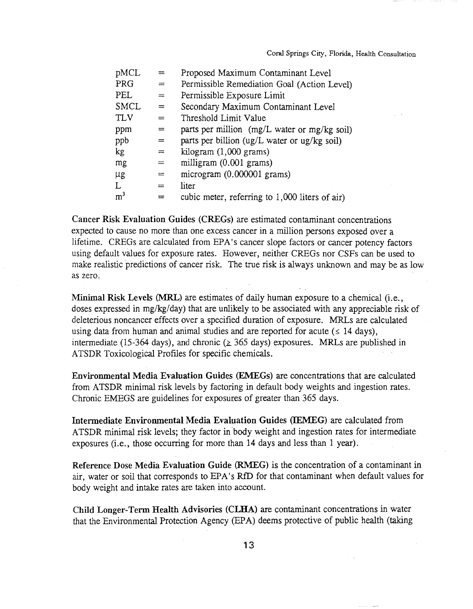| pMCL           | $=$ | Proposed Maximum Contaminant Level                                |
|----------------|-----|-------------------------------------------------------------------|
| PRG            | $=$ | Permissible Remediation Goal (Action Level)                       |
| PEL            | $=$ | Permissible Exposure Limit                                        |
| <b>SMCL</b>    | $=$ | Secondary Maximum Contaminant Level                               |
| <b>TLV</b>     | $=$ | Threshold Limit Value                                             |
| ppm            | $=$ | parts per million (mg/L water or mg/kg soil)                      |
| ppb            | $=$ | parts per billion ( $\frac{ug}{L}$ water or $\frac{ug}{kg}$ soil) |
| kg             | $=$ | kilogram $(1,000$ grams)                                          |
| mg             | $=$ | milligram (0.001 grams)                                           |
| $\mu$ g        | $=$ | microgram (0.000001 grams)                                        |
| L              | $=$ | liter                                                             |
| m <sup>3</sup> | ≕   | cubic meter, referring to 1,000 liters of air)                    |

Cancer Risk Evaluation Guides (CREGs) are estimated contaminant concentrations expected to cause no more than one excess cancer in a million persons exposed over a lifetime. CREGs are calculated from EPA's cancer slope factors or cancer potency factors using default values for exposure rates. However, neither CREGs nor CSFs can be used to make realistic predictions of cancer risk. The true risk is always unknown and may be as low as zero.

Minimal Risk Levels (MRL) are estimates of daily human exposure to a chemical (i.e., doses expressed in mg/kg/day) that are unlikely to be associated with any appreciable risk of deleterious noncancer effects over a specified duration of exposure. MRLs are calculated using data from human and animal studies and are reported for acute ( $\leq$  14 days), intermediate (15-364 days), and chronic ( $\geq$  365 days) exposures. MRLs are published in ATSDR Toxicological Profiles for specific chemicals.

Environmental Media Evaluation Guides (EMEGs) are concentrations that are calculated from ATSDR minimal risk levels by factoring in default body weights and ingestion rates. Chronic EMEGS are guidelines for exposures of greater than 365 days.

Intermediate Environmental Media Evaluation Guides (lEMEG) are calculated from ATSDR minimal risk levels; they factor in 'body weight and ingestion rates for intermediate exposures (i.e., those occurring for more than 14 days and less than 1 year).

Reference Dose Media Evaluation Guide (RMEG) is the concentration of a contaminant in air, water or soil that corresponds to EPA's RfD for that contaminant when default values for body weight and intake rates are taken into account.

Child Longer-Term Health Advisories (CLHA) are contaminant concentrations in water that the Environmental Protection Agency (EPA) deems protective of public health (taking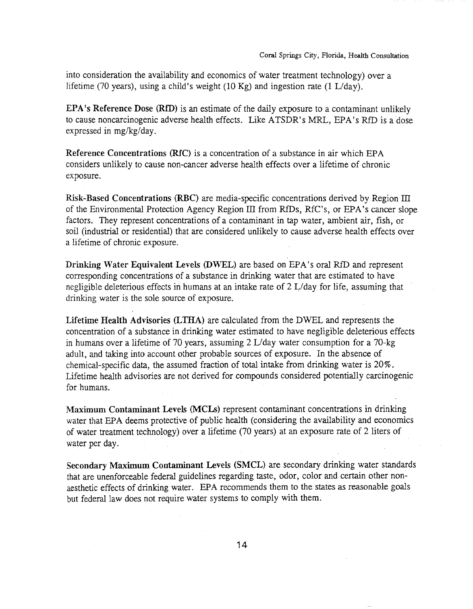into consideration the availability and economics of water treatment technology) over a lifetime (70 years), using a child's weight (10 Kg) and ingestion rate (1 L/day).

EPA·s Reference Dose (RID) is an estimate of the daily exposure to a contaminant unlikely to cause noncarcinogenic adverse health effects. Like ATSDR's MRL, EPA's RfD is a dose expressed in mg/kg/day.

Reference Concentrations (RIC) is a concentration of a substance in air which EPA considers unlikely to cause non-cancer adverse health effects over a lifetime of chronic exposure.

Risk-Based Concentrations (RBC) are media-specific concentrations derived by Region III of the Environmental Protection Agency Region III from RIDs, RfC's, or EPA's cancer slope factors. They represent concentrations of a contaminant in tap water, ambient air, fish, or soil (industrial or residential) that are considered unlikely to cause adverse health effects over a lifetime of chronic exposure.

Drinking Water Equivalent Levels (DWEL) are based on EPA's oral RfD and represent corresponding concentrations of a substance in drinking water that are estimated to have negligible deleterious effects in humans at an intake rate of 2 L/day for life, assuming that drinking water is the sole source of exposure.

Lifetime Health Advisories (LTHA) are calculated from the DWEL and represents the concentration of a substance in drinking water estimated to have negligible deleterious effects in humans over a lifetime of 70 years, assuming 2 L/day water consumption for a 70-kg adult, and taking into account other probable sources of exposure. In the absence of chemical-specific data, the assumed fraction of total intake from drinking water is 20%. Lifetime health advisories are not derived for compounds considered potentially carcinogenic for humans.

Maximum Contaminant Levels (MCLs) represent contaminant concentrations in drinking water that EPA deems protective of public health (considering the availability and economics of water treatment technology) over a lifetime (70 years) at an exposure rate of 2 liters of water per day.

Secondary Maximum Contaminant Levels (SMCL) are secondary drinking water standards that are unenforceable federal guidelines regarding taste, odor, color and certain other nonaesthetic effects of drinking water. EPA recommends them to the states as reasonable goals but federal law does not require water systems to comply with them.